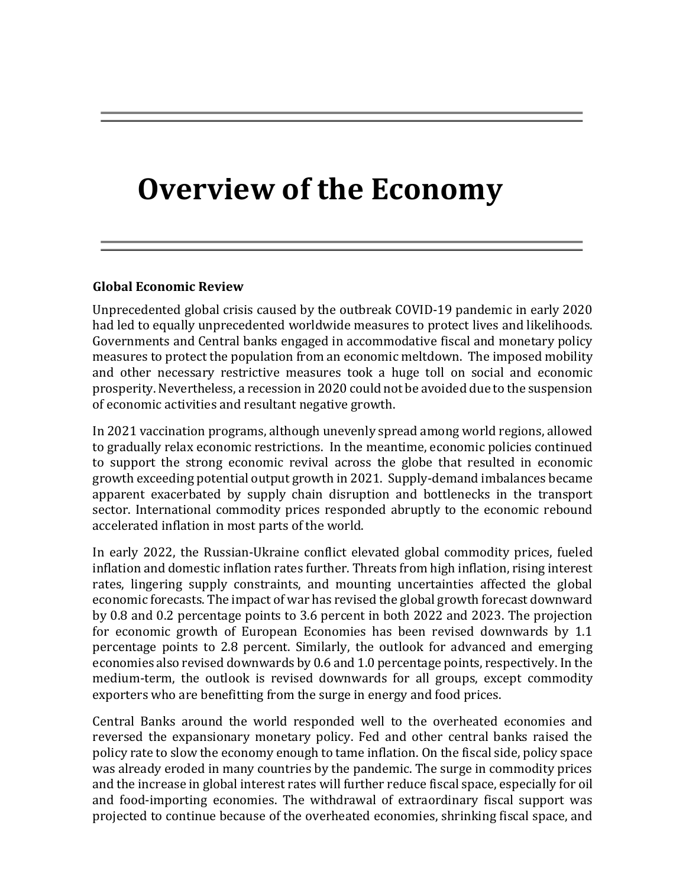# **Overview of the Economy**

#### **Global Economic Review**

Unprecedented global crisis caused by the outbreak COVID-19 pandemic in early 2020 had led to equally unprecedented worldwide measures to protect lives and likelihoods. Governments and Central banks engaged in accommodative fiscal and monetary policy measures to protect the population from an economic meltdown. The imposed mobility and other necessary restrictive measures took a huge toll on social and economic prosperity. Nevertheless, a recession in 2020 could not be avoided due to the suspension of economic activities and resultant negative growth.

In 2021 vaccination programs, although unevenly spread among world regions, allowed to gradually relax economic restrictions. In the meantime, economic policies continued to support the strong economic revival across the globe that resulted in economic growth exceeding potential output growth in 2021. Supply-demand imbalances became apparent exacerbated by supply chain disruption and bottlenecks in the transport sector. International commodity prices responded abruptly to the economic rebound accelerated inflation in most parts of the world.

In early 2022, the Russian-Ukraine conflict elevated global commodity prices, fueled inflation and domestic inflation rates further. Threats from high inflation, rising interest rates, lingering supply constraints, and mounting uncertainties affected the global economic forecasts. The impact of war has revised the global growth forecast downward by 0.8 and 0.2 percentage points to 3.6 percent in both 2022 and 2023. The projection for economic growth of European Economies has been revised downwards by 1.1 percentage points to 2.8 percent. Similarly, the outlook for advanced and emerging economies also revised downwards by 0.6 and 1.0 percentage points, respectively. In the medium-term, the outlook is revised downwards for all groups, except commodity exporters who are benefitting from the surge in energy and food prices.

Central Banks around the world responded well to the overheated economies and reversed the expansionary monetary policy. Fed and other central banks raised the policy rate to slow the economy enough to tame inflation. On the fiscal side, policy space was already eroded in many countries by the pandemic. The surge in commodity prices and the increase in global interest rates will further reduce fiscal space, especially for oil and food-importing economies. The withdrawal of extraordinary fiscal support was projected to continue because of the overheated economies, shrinking fiscal space, and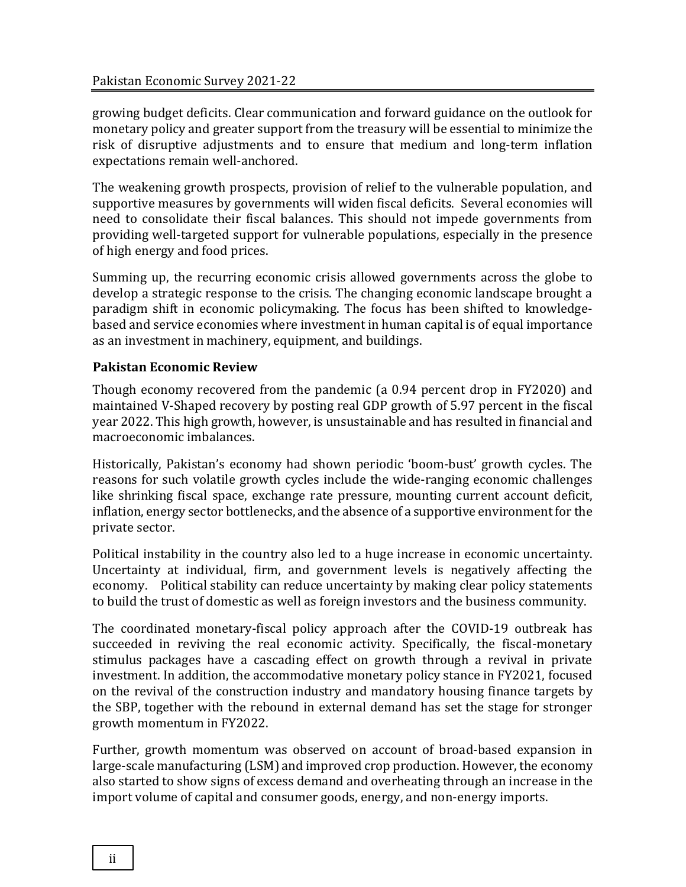growing budget deficits. Clear communication and forward guidance on the outlook for monetary policy and greater support from the treasury will be essential to minimize the risk of disruptive adjustments and to ensure that medium and long-term inflation expectations remain well-anchored.

The weakening growth prospects, provision of relief to the vulnerable population, and supportive measures by governments will widen fiscal deficits. Several economies will need to consolidate their fiscal balances. This should not impede governments from providing well-targeted support for vulnerable populations, especially in the presence of high energy and food prices.

Summing up, the recurring economic crisis allowed governments across the globe to develop a strategic response to the crisis. The changing economic landscape brought a paradigm shift in economic policymaking. The focus has been shifted to knowledgebased and service economies where investment in human capital is of equal importance as an investment in machinery, equipment, and buildings.

#### **Pakistan Economic Review**

Though economy recovered from the pandemic (a 0.94 percent drop in FY2020) and maintained V-Shaped recovery by posting real GDP growth of 5.97 percent in the fiscal year 2022. This high growth, however, is unsustainable and has resulted in financial and macroeconomic imbalances.

Historically, Pakistan's economy had shown periodic 'boom-bust' growth cycles. The reasons for such volatile growth cycles include the wide-ranging economic challenges like shrinking fiscal space, exchange rate pressure, mounting current account deficit, inflation, energy sector bottlenecks, and the absence of a supportive environment for the private sector.

Political instability in the country also led to a huge increase in economic uncertainty. Uncertainty at individual, firm, and government levels is negatively affecting the economy. Political stability can reduce uncertainty by making clear policy statements to build the trust of domestic as well as foreign investors and the business community.

The coordinated monetary-fiscal policy approach after the COVID-19 outbreak has succeeded in reviving the real economic activity. Specifically, the fiscal-monetary stimulus packages have a cascading effect on growth through a revival in private investment. In addition, the accommodative monetary policy stance in FY2021, focused on the revival of the construction industry and mandatory housing finance targets by the SBP, together with the rebound in external demand has set the stage for stronger growth momentum in FY2022.

Further, growth momentum was observed on account of broad-based expansion in large-scale manufacturing (LSM) and improved crop production. However, the economy also started to show signs of excess demand and overheating through an increase in the import volume of capital and consumer goods, energy, and non-energy imports.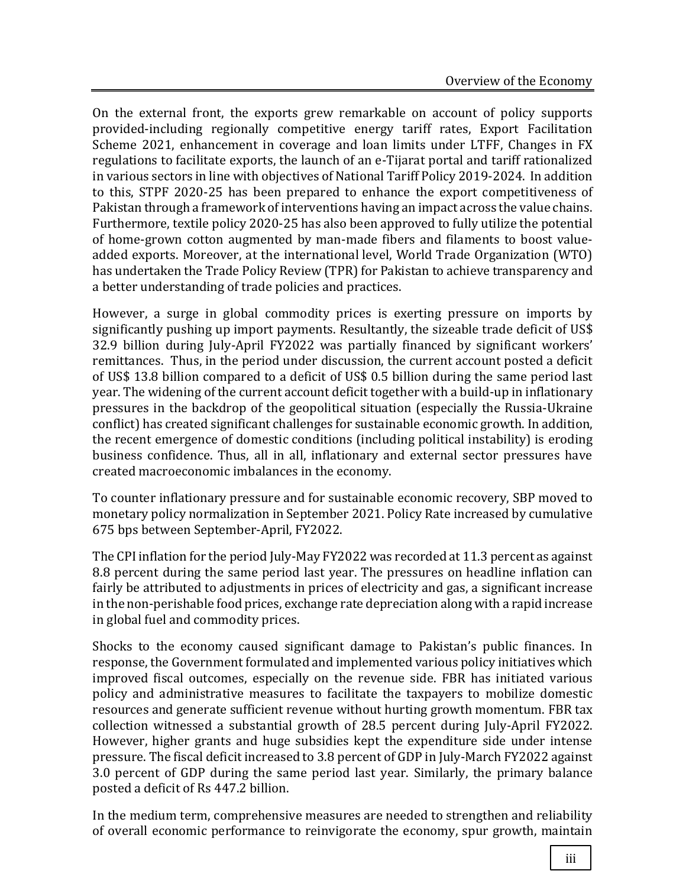On the external front, the exports grew remarkable on account of policy supports provided-including regionally competitive energy tariff rates, Export Facilitation Scheme 2021, enhancement in coverage and loan limits under LTFF, Changes in FX regulations to facilitate exports, the launch of an e-Tijarat portal and tariff rationalized in various sectors in line with objectives of National Tariff Policy 2019-2024. In addition to this, STPF 2020-25 has been prepared to enhance the export competitiveness of Pakistan through a framework of interventions having an impact across the value chains. Furthermore, textile policy 2020-25 has also been approved to fully utilize the potential of home-grown cotton augmented by man-made fibers and filaments to boost valueadded exports. Moreover, at the international level, World Trade Organization (WTO) has undertaken the Trade Policy Review (TPR) for Pakistan to achieve transparency and a better understanding of trade policies and practices.

However, a surge in global commodity prices is exerting pressure on imports by significantly pushing up import payments. Resultantly, the sizeable trade deficit of US\$ 32.9 billion during July-April FY2022 was partially financed by significant workers' remittances. Thus, in the period under discussion, the current account posted a deficit of US\$ 13.8 billion compared to a deficit of US\$ 0.5 billion during the same period last year. The widening of the current account deficit together with a build-up in inflationary pressures in the backdrop of the geopolitical situation (especially the Russia-Ukraine conflict) has created significant challenges for sustainable economic growth. In addition, the recent emergence of domestic conditions (including political instability) is eroding business confidence. Thus, all in all, inflationary and external sector pressures have created macroeconomic imbalances in the economy.

To counter inflationary pressure and for sustainable economic recovery, SBP moved to monetary policy normalization in September 2021. Policy Rate increased by cumulative 675 bps between September-April, FY2022.

The CPI inflation for the period July-May FY2022 was recorded at 11.3 percent as against 8.8 percent during the same period last year. The pressures on headline inflation can fairly be attributed to adjustments in prices of electricity and gas, a significant increase in the non-perishable food prices, exchange rate depreciation along with a rapid increase in global fuel and commodity prices.

Shocks to the economy caused significant damage to Pakistan's public finances. In response, the Government formulated and implemented various policy initiatives which improved fiscal outcomes, especially on the revenue side. FBR has initiated various policy and administrative measures to facilitate the taxpayers to mobilize domestic resources and generate sufficient revenue without hurting growth momentum. FBR tax collection witnessed a substantial growth of 28.5 percent during July-April FY2022. However, higher grants and huge subsidies kept the expenditure side under intense pressure. The fiscal deficit increased to 3.8 percent of GDP in July-March FY2022 against 3.0 percent of GDP during the same period last year. Similarly, the primary balance posted a deficit of Rs 447.2 billion.

In the medium term, comprehensive measures are needed to strengthen and reliability of overall economic performance to reinvigorate the economy, spur growth, maintain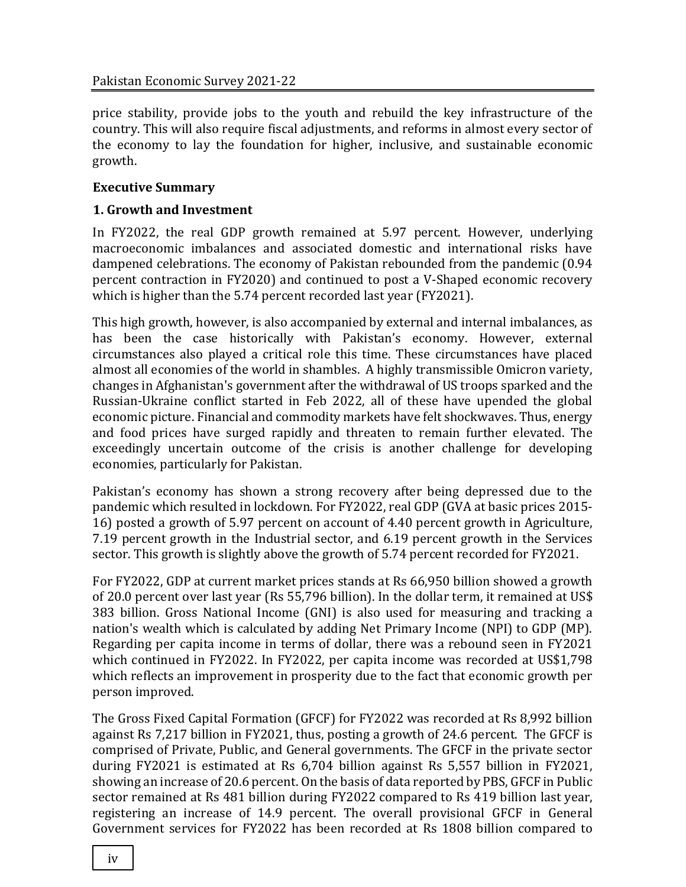price stability, provide jobs to the youth and rebuild the key infrastructure of the country. This will also require fiscal adjustments, and reforms in almost every sector of the economy to lay the foundation for higher, inclusive, and sustainable economic growth.

#### **Executive Summary**

#### **1. Growth and Investment**

In FY2022, the real GDP growth remained at 5.97 percent. However, underlying macroeconomic imbalances and associated domestic and international risks have dampened celebrations. The economy of Pakistan rebounded from the pandemic (0.94 percent contraction in FY2020) and continued to post a V-Shaped economic recovery which is higher than the 5.74 percent recorded last year (FY2021).

This high growth, however, is also accompanied by external and internal imbalances, as has been the case historically with Pakistan's economy. However, external circumstances also played a critical role this time. These circumstances have placed almost all economies of the world in shambles. A highly transmissible Omicron variety, changes in Afghanistan's government after the withdrawal of US troops sparked and the Russian-Ukraine conflict started in Feb 2022, all of these have upended the global economic picture. Financial and commodity markets have felt shockwaves. Thus, energy and food prices have surged rapidly and threaten to remain further elevated. The exceedingly uncertain outcome of the crisis is another challenge for developing economies, particularly for Pakistan.

Pakistan's economy has shown a strong recovery after being depressed due to the pandemic which resulted in lockdown. For FY2022, real GDP (GVA at basic prices 2015- 16) posted a growth of 5.97 percent on account of 4.40 percent growth in Agriculture, 7.19 percent growth in the Industrial sector, and 6.19 percent growth in the Services sector. This growth is slightly above the growth of 5.74 percent recorded for FY2021.

For FY2022, GDP at current market prices stands at Rs 66,950 billion showed a growth of 20.0 percent over last year (Rs 55,796 billion). In the dollar term, it remained at US\$ 383 billion. Gross National Income (GNI) is also used for measuring and tracking a nation's wealth which is calculated by adding Net Primary Income (NPI) to GDP (MP). Regarding per capita income in terms of dollar, there was a rebound seen in FY2021 which continued in FY2022. In FY2022, per capita income was recorded at US\$1,798 which reflects an improvement in prosperity due to the fact that economic growth per person improved.

The Gross Fixed Capital Formation (GFCF) for FY2022 was recorded at Rs 8,992 billion against Rs 7,217 billion in FY2021, thus, posting a growth of 24.6 percent. The GFCF is comprised of Private, Public, and General governments. The GFCF in the private sector during FY2021 is estimated at Rs 6,704 billion against Rs 5,557 billion in FY2021, showing an increase of 20.6 percent. On the basis of data reported by PBS, GFCF in Public sector remained at Rs 481 billion during FY2022 compared to Rs 419 billion last year, registering an increase of 14.9 percent. The overall provisional GFCF in General Government services for FY2022 has been recorded at Rs 1808 billion compared to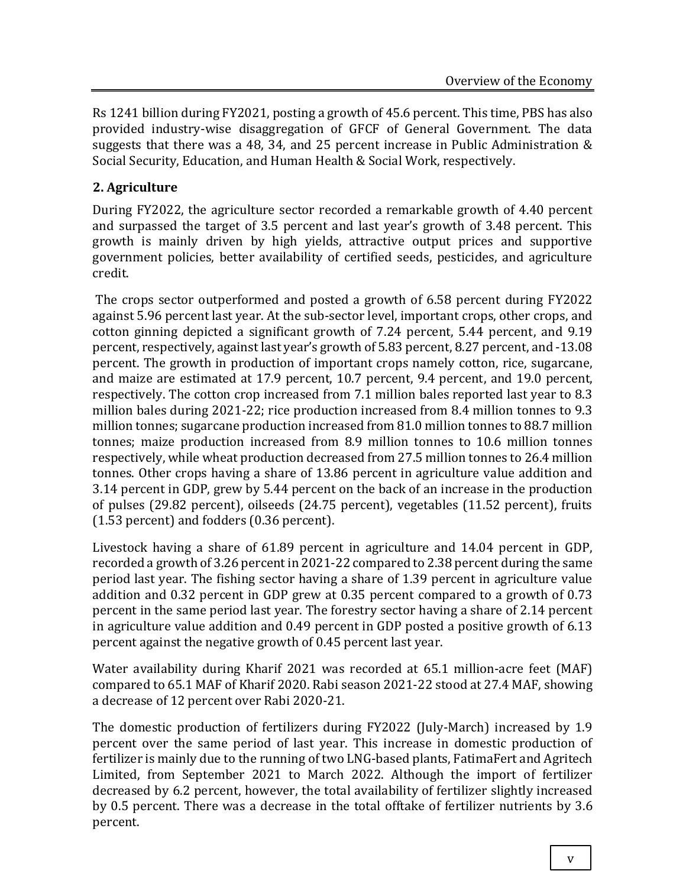Rs 1241 billion during FY2021, posting a growth of 45.6 percent. This time, PBS has also provided industry-wise disaggregation of GFCF of General Government. The data suggests that there was a 48, 34, and 25 percent increase in Public Administration & Social Security, Education, and Human Health & Social Work, respectively.

#### **2. Agriculture**

During FY2022, the agriculture sector recorded a remarkable growth of 4.40 percent and surpassed the target of 3.5 percent and last year's growth of 3.48 percent. This growth is mainly driven by high yields, attractive output prices and supportive government policies, better availability of certified seeds, pesticides, and agriculture credit.

The crops sector outperformed and posted a growth of 6.58 percent during FY2022 against 5.96 percent last year. At the sub-sector level, important crops, other crops, and cotton ginning depicted a significant growth of 7.24 percent, 5.44 percent, and 9.19 percent, respectively, against last year's growth of 5.83 percent, 8.27 percent, and -13.08 percent. The growth in production of important crops namely cotton, rice, sugarcane, and maize are estimated at 17.9 percent, 10.7 percent, 9.4 percent, and 19.0 percent, respectively. The cotton crop increased from 7.1 million bales reported last year to 8.3 million bales during 2021-22; rice production increased from 8.4 million tonnes to 9.3 million tonnes; sugarcane production increased from 81.0 million tonnes to 88.7 million tonnes; maize production increased from 8.9 million tonnes to 10.6 million tonnes respectively, while wheat production decreased from 27.5 million tonnes to 26.4 million tonnes. Other crops having a share of 13.86 percent in agriculture value addition and 3.14 percent in GDP, grew by 5.44 percent on the back of an increase in the production of pulses (29.82 percent), oilseeds (24.75 percent), vegetables (11.52 percent), fruits (1.53 percent) and fodders (0.36 percent).

Livestock having a share of 61.89 percent in agriculture and 14.04 percent in GDP, recorded a growth of 3.26 percent in 2021-22 compared to 2.38 percent during the same period last year. The fishing sector having a share of 1.39 percent in agriculture value addition and 0.32 percent in GDP grew at 0.35 percent compared to a growth of 0.73 percent in the same period last year. The forestry sector having a share of 2.14 percent in agriculture value addition and 0.49 percent in GDP posted a positive growth of 6.13 percent against the negative growth of 0.45 percent last year.

Water availability during Kharif 2021 was recorded at 65.1 million-acre feet (MAF) compared to 65.1 MAF of Kharif 2020. Rabi season 2021-22 stood at 27.4 MAF, showing a decrease of 12 percent over Rabi 2020-21.

The domestic production of fertilizers during FY2022 (July-March) increased by 1.9 percent over the same period of last year. This increase in domestic production of fertilizer is mainly due to the running of two LNG-based plants, FatimaFert and Agritech Limited, from September 2021 to March 2022. Although the import of fertilizer decreased by 6.2 percent, however, the total availability of fertilizer slightly increased by 0.5 percent. There was a decrease in the total offtake of fertilizer nutrients by 3.6 percent.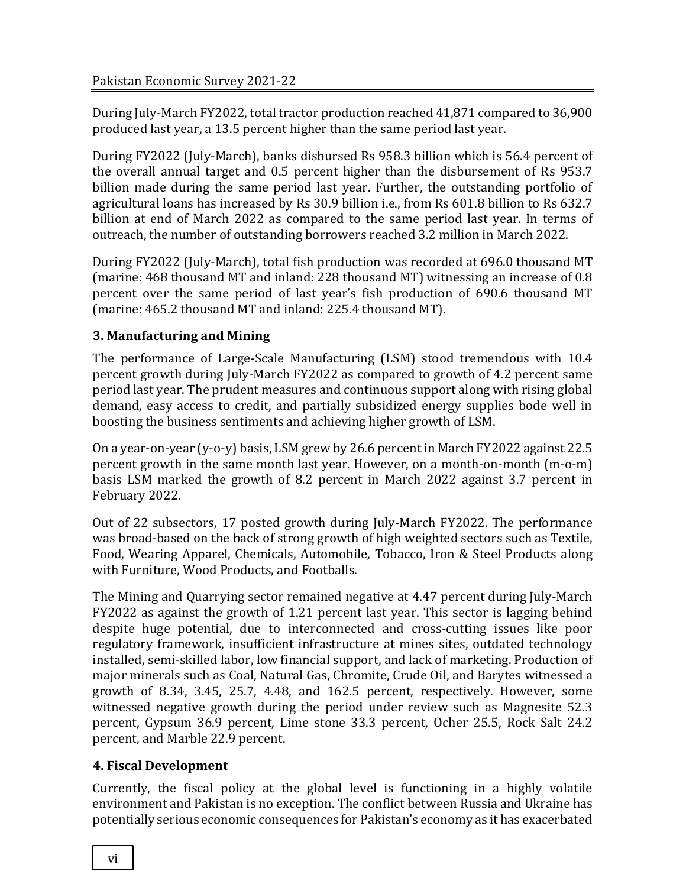During July-March FY2022, total tractor production reached 41,871 compared to 36,900 produced last year, a 13.5 percent higher than the same period last year.

During FY2022 (July-March), banks disbursed Rs 958.3 billion which is 56.4 percent of the overall annual target and 0.5 percent higher than the disbursement of Rs 953.7 billion made during the same period last year. Further, the outstanding portfolio of agricultural loans has increased by Rs 30.9 billion i.e., from Rs 601.8 billion to Rs 632.7 billion at end of March 2022 as compared to the same period last year. In terms of outreach, the number of outstanding borrowers reached 3.2 million in March 2022.

During FY2022 (July-March), total fish production was recorded at 696.0 thousand MT (marine: 468 thousand MT and inland: 228 thousand MT) witnessing an increase of 0.8 percent over the same period of last year's fish production of 690.6 thousand MT (marine: 465.2 thousand MT and inland: 225.4 thousand MT).

# **3. Manufacturing and Mining**

The performance of Large-Scale Manufacturing (LSM) stood tremendous with 10.4 percent growth during July-March FY2022 as compared to growth of 4.2 percent same period last year. The prudent measures and continuous support along with rising global demand, easy access to credit, and partially subsidized energy supplies bode well in boosting the business sentiments and achieving higher growth of LSM.

On a year-on-year (y-o-y) basis, LSM grew by 26.6 percent in March FY2022 against 22.5 percent growth in the same month last year. However, on a month-on-month (m-o-m) basis LSM marked the growth of 8.2 percent in March 2022 against 3.7 percent in February 2022.

Out of 22 subsectors, 17 posted growth during July-March FY2022. The performance was broad-based on the back of strong growth of high weighted sectors such as Textile, Food, Wearing Apparel, Chemicals, Automobile, Tobacco, Iron & Steel Products along with Furniture, Wood Products, and Footballs.

The Mining and Quarrying sector remained negative at 4.47 percent during July-March FY2022 as against the growth of 1.21 percent last year. This sector is lagging behind despite huge potential, due to interconnected and cross-cutting issues like poor regulatory framework, insufficient infrastructure at mines sites, outdated technology installed, semi-skilled labor, low financial support, and lack of marketing. Production of major minerals such as Coal, Natural Gas, Chromite, Crude Oil, and Barytes witnessed a growth of 8.34, 3.45, 25.7, 4.48, and 162.5 percent, respectively. However, some witnessed negative growth during the period under review such as Magnesite 52.3 percent, Gypsum 36.9 percent, Lime stone 33.3 percent, Ocher 25.5, Rock Salt 24.2 percent, and Marble 22.9 percent.

# **4. Fiscal Development**

Currently, the fiscal policy at the global level is functioning in a highly volatile environment and Pakistan is no exception. The conflict between Russia and Ukraine has potentially serious economic consequences for Pakistan's economy as it has exacerbated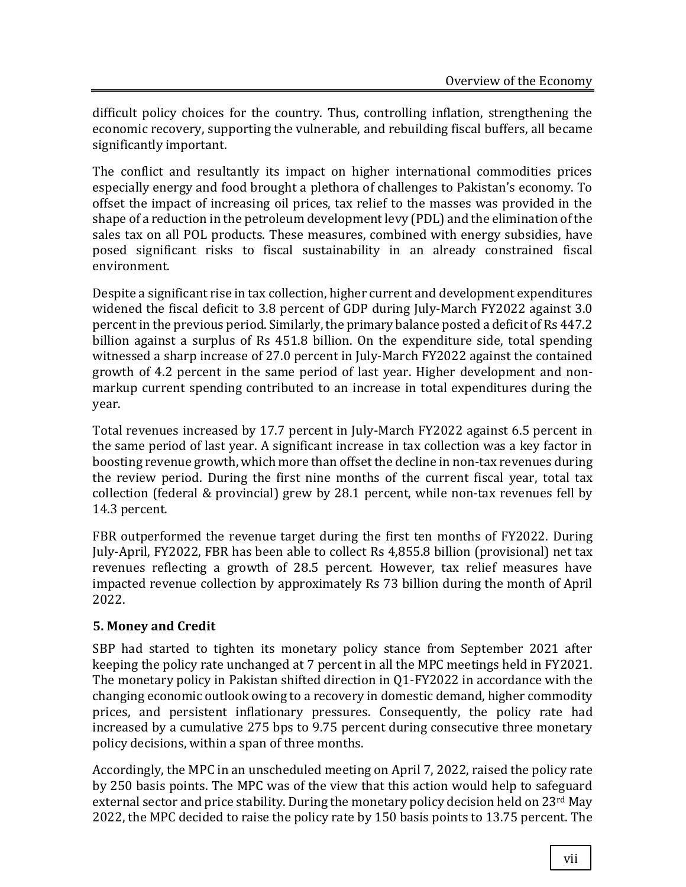difficult policy choices for the country. Thus, controlling inflation, strengthening the economic recovery, supporting the vulnerable, and rebuilding fiscal buffers, all became significantly important.

The conflict and resultantly its impact on higher international commodities prices especially energy and food brought a plethora of challenges to Pakistan's economy. To offset the impact of increasing oil prices, tax relief to the masses was provided in the shape of a reduction in the petroleum development levy (PDL) and the elimination of the sales tax on all POL products. These measures, combined with energy subsidies, have posed significant risks to fiscal sustainability in an already constrained fiscal environment.

Despite a significant rise in tax collection, higher current and development expenditures widened the fiscal deficit to 3.8 percent of GDP during July-March FY2022 against 3.0 percent in the previous period. Similarly, the primary balance posted a deficit of Rs 447.2 billion against a surplus of Rs 451.8 billion. On the expenditure side, total spending witnessed a sharp increase of 27.0 percent in July-March FY2022 against the contained growth of 4.2 percent in the same period of last year. Higher development and nonmarkup current spending contributed to an increase in total expenditures during the year.

Total revenues increased by 17.7 percent in July-March FY2022 against 6.5 percent in the same period of last year. A significant increase in tax collection was a key factor in boosting revenue growth, which more than offset the decline in non-tax revenues during the review period. During the first nine months of the current fiscal year, total tax collection (federal & provincial) grew by 28.1 percent, while non-tax revenues fell by 14.3 percent.

FBR outperformed the revenue target during the first ten months of FY2022. During July-April, FY2022, FBR has been able to collect Rs 4,855.8 billion (provisional) net tax revenues reflecting a growth of 28.5 percent. However, tax relief measures have impacted revenue collection by approximately Rs 73 billion during the month of April 2022.

# **5. Money and Credit**

SBP had started to tighten its monetary policy stance from September 2021 after keeping the policy rate unchanged at 7 percent in all the MPC meetings held in FY2021. The monetary policy in Pakistan shifted direction in Q1-FY2022 in accordance with the changing economic outlook owing to a recovery in domestic demand, higher commodity prices, and persistent inflationary pressures. Consequently, the policy rate had increased by a cumulative 275 bps to 9.75 percent during consecutive three monetary policy decisions, within a span of three months.

Accordingly, the MPC in an unscheduled meeting on April 7, 2022, raised the policy rate by 250 basis points. The MPC was of the view that this action would help to safeguard external sector and price stability. During the monetary policy decision held on  $23<sup>rd</sup>$  May 2022, the MPC decided to raise the policy rate by 150 basis points to 13.75 percent. The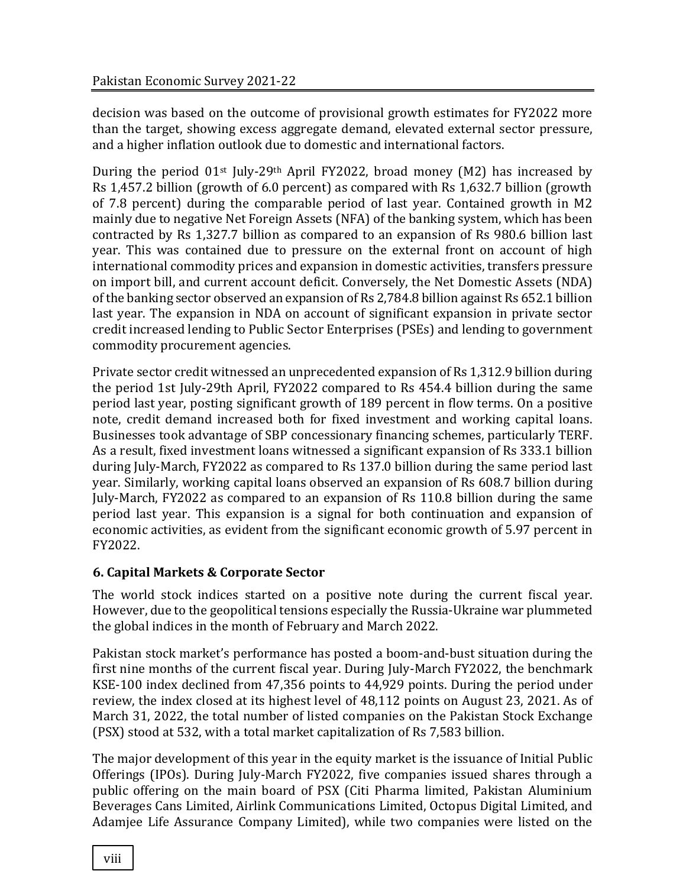decision was based on the outcome of provisional growth estimates for FY2022 more than the target, showing excess aggregate demand, elevated external sector pressure, and a higher inflation outlook due to domestic and international factors.

During the period 01st July-29th April FY2022, broad money (M2) has increased by Rs 1,457.2 billion (growth of 6.0 percent) as compared with Rs 1,632.7 billion (growth of 7.8 percent) during the comparable period of last year. Contained growth in M2 mainly due to negative Net Foreign Assets (NFA) of the banking system, which has been contracted by Rs 1,327.7 billion as compared to an expansion of Rs 980.6 billion last year. This was contained due to pressure on the external front on account of high international commodity prices and expansion in domestic activities, transfers pressure on import bill, and current account deficit. Conversely, the Net Domestic Assets (NDA) of the banking sector observed an expansion of Rs 2,784.8 billion against Rs 652.1 billion last year. The expansion in NDA on account of significant expansion in private sector credit increased lending to Public Sector Enterprises (PSEs) and lending to government commodity procurement agencies.

Private sector credit witnessed an unprecedented expansion of Rs 1,312.9 billion during the period 1st July-29th April, FY2022 compared to Rs 454.4 billion during the same period last year, posting significant growth of 189 percent in flow terms. On a positive note, credit demand increased both for fixed investment and working capital loans. Businesses took advantage of SBP concessionary financing schemes, particularly TERF. As a result, fixed investment loans witnessed a significant expansion of Rs 333.1 billion during July-March, FY2022 as compared to Rs 137.0 billion during the same period last year. Similarly, working capital loans observed an expansion of Rs 608.7 billion during July-March, FY2022 as compared to an expansion of Rs 110.8 billion during the same period last year. This expansion is a signal for both continuation and expansion of economic activities, as evident from the significant economic growth of 5.97 percent in FY2022.

# **6. Capital Markets & Corporate Sector**

The world stock indices started on a positive note during the current fiscal year. However, due to the geopolitical tensions especially the Russia-Ukraine war plummeted the global indices in the month of February and March 2022.

Pakistan stock market's performance has posted a boom-and-bust situation during the first nine months of the current fiscal year. During July-March FY2022, the benchmark KSE-100 index declined from 47,356 points to 44,929 points. During the period under review, the index closed at its highest level of 48,112 points on August 23, 2021. As of March 31, 2022, the total number of listed companies on the Pakistan Stock Exchange (PSX) stood at 532, with a total market capitalization of Rs 7,583 billion.

The major development of this year in the equity market is the issuance of Initial Public Offerings (IPOs). During July-March FY2022, five companies issued shares through a public offering on the main board of PSX (Citi Pharma limited, Pakistan Aluminium Beverages Cans Limited, Airlink Communications Limited, Octopus Digital Limited, and Adamjee Life Assurance Company Limited), while two companies were listed on the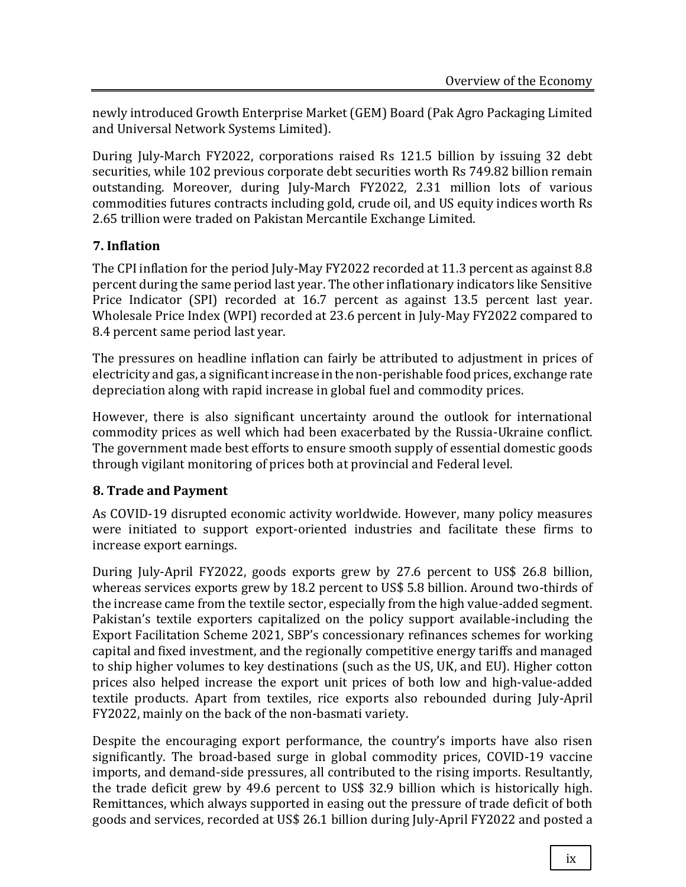newly introduced Growth Enterprise Market (GEM) Board (Pak Agro Packaging Limited and Universal Network Systems Limited).

During July-March FY2022, corporations raised Rs 121.5 billion by issuing 32 debt securities, while 102 previous corporate debt securities worth Rs 749.82 billion remain outstanding. Moreover, during July-March FY2022, 2.31 million lots of various commodities futures contracts including gold, crude oil, and US equity indices worth Rs 2.65 trillion were traded on Pakistan Mercantile Exchange Limited.

# **7. Inflation**

The CPI inflation for the period July-May FY2022 recorded at 11.3 percent as against 8.8 percent during the same period last year. The other inflationary indicators like Sensitive Price Indicator (SPI) recorded at 16.7 percent as against 13.5 percent last year. Wholesale Price Index (WPI) recorded at 23.6 percent in July-May FY2022 compared to 8.4 percent same period last year.

The pressures on headline inflation can fairly be attributed to adjustment in prices of electricity and gas, a significant increase in the non-perishable food prices, exchange rate depreciation along with rapid increase in global fuel and commodity prices.

However, there is also significant uncertainty around the outlook for international commodity prices as well which had been exacerbated by the Russia-Ukraine conflict. The government made best efforts to ensure smooth supply of essential domestic goods through vigilant monitoring of prices both at provincial and Federal level.

# **8. Trade and Payment**

As COVID-19 disrupted economic activity worldwide. However, many policy measures were initiated to support export-oriented industries and facilitate these firms to increase export earnings.

During July-April FY2022, goods exports grew by 27.6 percent to US\$ 26.8 billion, whereas services exports grew by 18.2 percent to US\$ 5.8 billion. Around two-thirds of the increase came from the textile sector, especially from the high value-added segment. Pakistan's textile exporters capitalized on the policy support available-including the Export Facilitation Scheme 2021, SBP's concessionary refinances schemes for working capital and fixed investment, and the regionally competitive energy tariffs and managed to ship higher volumes to key destinations (such as the US, UK, and EU). Higher cotton prices also helped increase the export unit prices of both low and high-value-added textile products. Apart from textiles, rice exports also rebounded during July-April FY2022, mainly on the back of the non-basmati variety.

Despite the encouraging export performance, the country's imports have also risen significantly. The broad-based surge in global commodity prices, COVID-19 vaccine imports, and demand-side pressures, all contributed to the rising imports. Resultantly, the trade deficit grew by 49.6 percent to US\$ 32.9 billion which is historically high. Remittances, which always supported in easing out the pressure of trade deficit of both goods and services, recorded at US\$ 26.1 billion during July-April FY2022 and posted a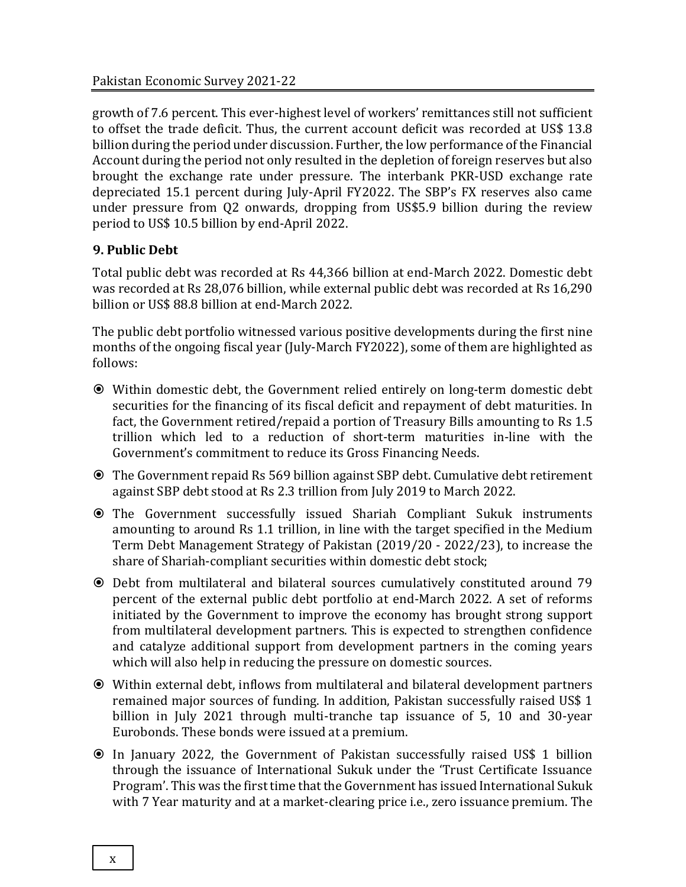growth of 7.6 percent. This ever-highest level of workers' remittances still not sufficient to offset the trade deficit. Thus, the current account deficit was recorded at US\$ 13.8 billion during the period under discussion. Further, the low performance of the Financial Account during the period not only resulted in the depletion of foreign reserves but also brought the exchange rate under pressure. The interbank PKR-USD exchange rate depreciated 15.1 percent during July-April FY2022. The SBP's FX reserves also came under pressure from Q2 onwards, dropping from US\$5.9 billion during the review period to US\$ 10.5 billion by end-April 2022.

# **9. Public Debt**

Total public debt was recorded at Rs 44,366 billion at end-March 2022. Domestic debt was recorded at Rs 28,076 billion, while external public debt was recorded at Rs 16,290 billion or US\$ 88.8 billion at end-March 2022.

The public debt portfolio witnessed various positive developments during the first nine months of the ongoing fiscal year (July-March FY2022), some of them are highlighted as follows:

- Within domestic debt, the Government relied entirely on long-term domestic debt securities for the financing of its fiscal deficit and repayment of debt maturities. In fact, the Government retired/repaid a portion of Treasury Bills amounting to Rs 1.5 trillion which led to a reduction of short-term maturities in-line with the Government's commitment to reduce its Gross Financing Needs.
- The Government repaid Rs 569 billion against SBP debt. Cumulative debt retirement against SBP debt stood at Rs 2.3 trillion from July 2019 to March 2022.
- The Government successfully issued Shariah Compliant Sukuk instruments amounting to around Rs 1.1 trillion, in line with the target specified in the Medium Term Debt Management Strategy of Pakistan (2019/20 - 2022/23), to increase the share of Shariah-compliant securities within domestic debt stock;
- Debt from multilateral and bilateral sources cumulatively constituted around 79 percent of the external public debt portfolio at end-March 2022. A set of reforms initiated by the Government to improve the economy has brought strong support from multilateral development partners. This is expected to strengthen confidence and catalyze additional support from development partners in the coming years which will also help in reducing the pressure on domestic sources.
- Within external debt, inflows from multilateral and bilateral development partners remained major sources of funding. In addition, Pakistan successfully raised US\$ 1 billion in July 2021 through multi-tranche tap issuance of 5, 10 and 30-year Eurobonds. These bonds were issued at a premium.
- In January 2022, the Government of Pakistan successfully raised US\$ 1 billion through the issuance of International Sukuk under the 'Trust Certificate Issuance Program'. This was the first time that the Government has issued International Sukuk with 7 Year maturity and at a market-clearing price i.e., zero issuance premium. The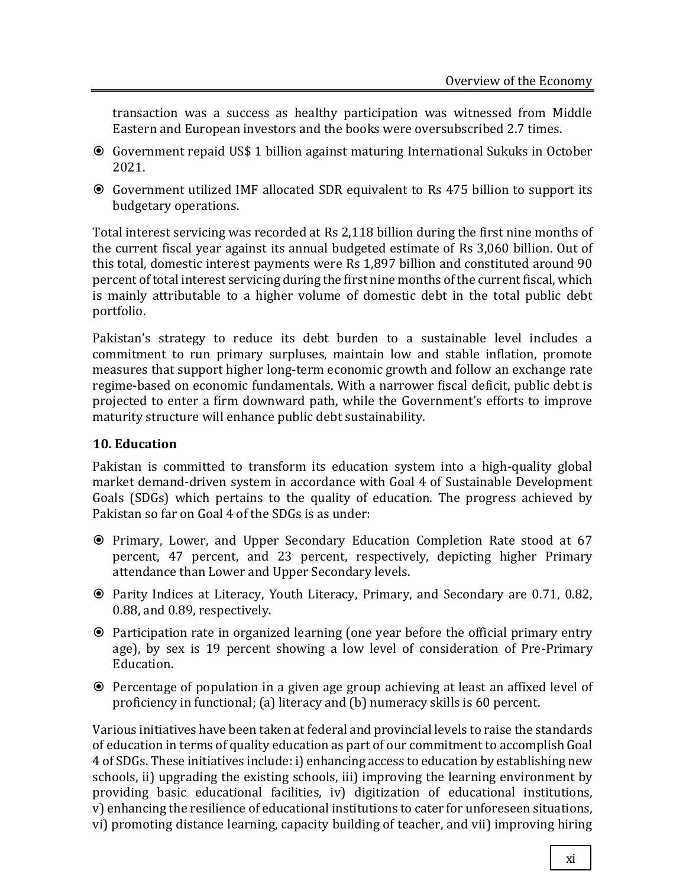transaction was a success as healthy participation was witnessed from Middle Eastern and European investors and the books were oversubscribed 2.7 times.

- Government repaid US\$ 1 billion against maturing International Sukuks in October 2021.
- Government utilized IMF allocated SDR equivalent to Rs 475 billion to support its budgetary operations.

Total interest servicing was recorded at Rs 2,118 billion during the first nine months of the current fiscal year against its annual budgeted estimate of Rs 3,060 billion. Out of this total, domestic interest payments were Rs 1,897 billion and constituted around 90 percent of total interest servicing during the first nine months of the current fiscal, which is mainly attributable to a higher volume of domestic debt in the total public debt portfolio.

Pakistan's strategy to reduce its debt burden to a sustainable level includes a commitment to run primary surpluses, maintain low and stable inflation, promote measures that support higher long-term economic growth and follow an exchange rate regime-based on economic fundamentals. With a narrower fiscal deficit, public debt is projected to enter a firm downward path, while the Government's efforts to improve maturity structure will enhance public debt sustainability.

#### **10. Education**

Pakistan is committed to transform its education system into a high-quality global market demand-driven system in accordance with Goal 4 of Sustainable Development Goals (SDGs) which pertains to the quality of education. The progress achieved by Pakistan so far on Goal 4 of the SDGs is as under:

- Primary, Lower, and Upper Secondary Education Completion Rate stood at 67 percent, 47 percent, and 23 percent, respectively, depicting higher Primary attendance than Lower and Upper Secondary levels.
- Parity Indices at Literacy, Youth Literacy, Primary, and Secondary are 0.71, 0.82, 0.88, and 0.89, respectively.
- Participation rate in organized learning (one year before the official primary entry age), by sex is 19 percent showing a low level of consideration of Pre-Primary Education.
- Percentage of population in a given age group achieving at least an affixed level of proficiency in functional; (a) literacy and (b) numeracy skills is 60 percent.

Various initiatives have been taken at federal and provincial levels to raise the standards of education in terms of quality education as part of our commitment to accomplish Goal 4 of SDGs. These initiatives include: i) enhancing access to education by establishing new schools, ii) upgrading the existing schools, iii) improving the learning environment by providing basic educational facilities, iv) digitization of educational institutions, v) enhancing the resilience of educational institutions to cater for unforeseen situations, vi) promoting distance learning, capacity building of teacher, and vii) improving hiring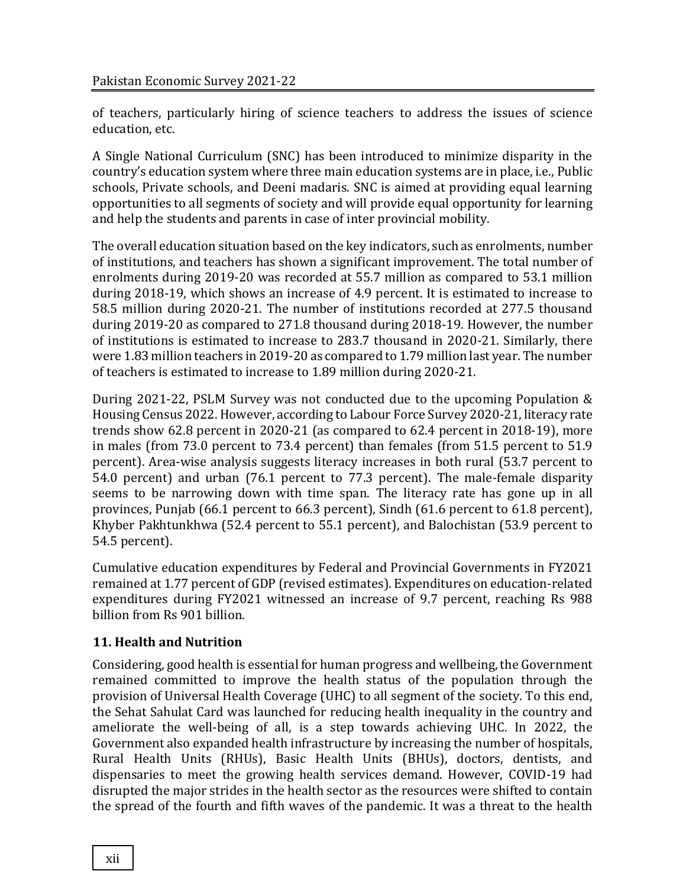of teachers, particularly hiring of science teachers to address the issues of science education, etc.

A Single National Curriculum (SNC) has been introduced to minimize disparity in the country's education system where three main education systems are in place, i.e., Public schools, Private schools, and Deeni madaris. SNC is aimed at providing equal learning opportunities to all segments of society and will provide equal opportunity for learning and help the students and parents in case of inter provincial mobility.

The overall education situation based on the key indicators, such as enrolments, number of institutions, and teachers has shown a significant improvement. The total number of enrolments during 2019-20 was recorded at 55.7 million as compared to 53.1 million during 2018-19, which shows an increase of 4.9 percent. It is estimated to increase to 58.5 million during 2020-21. The number of institutions recorded at 277.5 thousand during 2019-20 as compared to 271.8 thousand during 2018-19. However, the number of institutions is estimated to increase to 283.7 thousand in 2020-21. Similarly, there were 1.83 million teachers in 2019-20 as compared to 1.79 million last year. The number of teachers is estimated to increase to 1.89 million during 2020-21.

During 2021-22, PSLM Survey was not conducted due to the upcoming Population & Housing Census 2022. However, according to Labour Force Survey 2020-21, literacy rate trends show 62.8 percent in 2020-21 (as compared to 62.4 percent in 2018-19), more in males (from 73.0 percent to 73.4 percent) than females (from 51.5 percent to 51.9 percent). Area-wise analysis suggests literacy increases in both rural (53.7 percent to 54.0 percent) and urban (76.1 percent to 77.3 percent). The male-female disparity seems to be narrowing down with time span. The literacy rate has gone up in all provinces, Punjab (66.1 percent to 66.3 percent), Sindh (61.6 percent to 61.8 percent), Khyber Pakhtunkhwa (52.4 percent to 55.1 percent), and Balochistan (53.9 percent to 54.5 percent).

Cumulative education expenditures by Federal and Provincial Governments in FY2021 remained at 1.77 percent of GDP (revised estimates). Expenditures on education-related expenditures during FY2021 witnessed an increase of 9.7 percent, reaching Rs 988 billion from Rs 901 billion.

# **11. Health and Nutrition**

Considering, good health is essential for human progress and wellbeing, the Government remained committed to improve the health status of the population through the provision of Universal Health Coverage (UHC) to all segment of the society. To this end, the Sehat Sahulat Card was launched for reducing health inequality in the country and ameliorate the well-being of all, is a step towards achieving UHC. In 2022, the Government also expanded health infrastructure by increasing the number of hospitals, Rural Health Units (RHUs), Basic Health Units (BHUs), doctors, dentists, and dispensaries to meet the growing health services demand. However, COVID-19 had disrupted the major strides in the health sector as the resources were shifted to contain the spread of the fourth and fifth waves of the pandemic. It was a threat to the health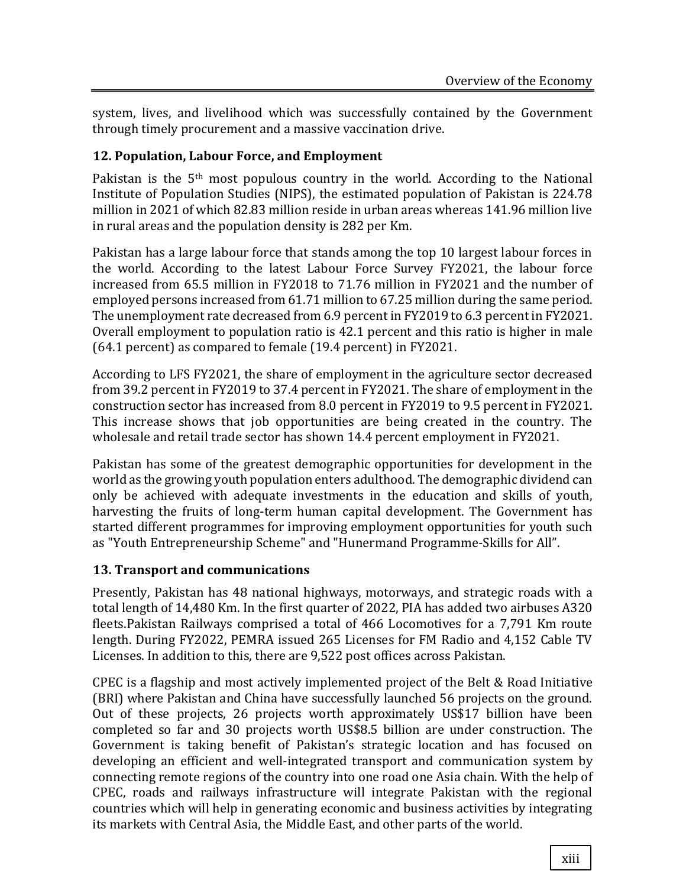system, lives, and livelihood which was successfully contained by the Government through timely procurement and a massive vaccination drive.

#### **12. Population, Labour Force, and Employment**

Pakistan is the 5<sup>th</sup> most populous country in the world. According to the National Institute of Population Studies (NIPS), the estimated population of Pakistan is 224.78 million in 2021 of which 82.83 million reside in urban areas whereas 141.96 million live in rural areas and the population density is 282 per Km.

Pakistan has a large labour force that stands among the top 10 largest labour forces in the world. According to the latest Labour Force Survey FY2021, the labour force increased from 65.5 million in FY2018 to 71.76 million in FY2021 and the number of employed persons increased from 61.71 million to 67.25 million during the same period. The unemployment rate decreased from 6.9 percent in FY2019 to 6.3 percent in FY2021. Overall employment to population ratio is 42.1 percent and this ratio is higher in male (64.1 percent) as compared to female (19.4 percent) in FY2021.

According to LFS FY2021, the share of employment in the agriculture sector decreased from 39.2 percent in FY2019 to 37.4 percent in FY2021. The share of employment in the construction sector has increased from 8.0 percent in FY2019 to 9.5 percent in FY2021. This increase shows that job opportunities are being created in the country. The wholesale and retail trade sector has shown 14.4 percent employment in FY2021.

Pakistan has some of the greatest demographic opportunities for development in the world as the growing youth population enters adulthood. The demographic dividend can only be achieved with adequate investments in the education and skills of youth, harvesting the fruits of long-term human capital development. The Government has started different programmes for improving employment opportunities for youth such as "Youth Entrepreneurship Scheme" and "Hunermand Programme-Skills for All".

# **13. Transport and communications**

Presently, Pakistan has 48 national highways, motorways, and strategic roads with a total length of 14,480 Km. In the first quarter of 2022, PIA has added two airbuses A320 fleets.Pakistan Railways comprised a total of 466 Locomotives for a 7,791 Km route length. During FY2022, PEMRA issued 265 Licenses for FM Radio and 4,152 Cable TV Licenses. In addition to this, there are 9,522 post offices across Pakistan.

CPEC is a flagship and most actively implemented project of the Belt & Road Initiative (BRI) where Pakistan and China have successfully launched 56 projects on the ground. Out of these projects, 26 projects worth approximately US\$17 billion have been completed so far and 30 projects worth US\$8.5 billion are under construction. The Government is taking benefit of Pakistan's strategic location and has focused on developing an efficient and well-integrated transport and communication system by connecting remote regions of the country into one road one Asia chain. With the help of CPEC, roads and railways infrastructure will integrate Pakistan with the regional countries which will help in generating economic and business activities by integrating its markets with Central Asia, the Middle East, and other parts of the world.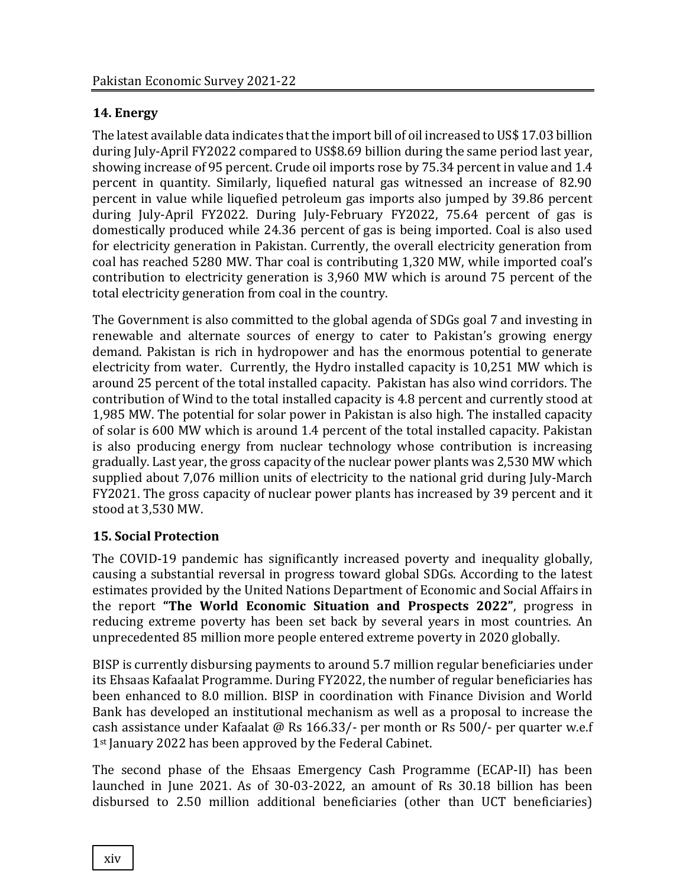# **14. Energy**

The latest available data indicates that the import bill of oil increased to US\$ 17.03 billion during July-April FY2022 compared to US\$8.69 billion during the same period last year, showing increase of 95 percent. Crude oil imports rose by 75.34 percent in value and 1.4 percent in quantity. Similarly, liquefied natural gas witnessed an increase of 82.90 percent in value while liquefied petroleum gas imports also jumped by 39.86 percent during July-April FY2022. During July-February FY2022, 75.64 percent of gas is domestically produced while 24.36 percent of gas is being imported. Coal is also used for electricity generation in Pakistan. Currently, the overall electricity generation from coal has reached 5280 MW. Thar coal is contributing 1,320 MW, while imported coal's contribution to electricity generation is 3,960 MW which is around 75 percent of the total electricity generation from coal in the country.

The Government is also committed to the global agenda of SDGs goal 7 and investing in renewable and alternate sources of energy to cater to Pakistan's growing energy demand. Pakistan is rich in hydropower and has the enormous potential to generate electricity from water. Currently, the Hydro installed capacity is 10,251 MW which is around 25 percent of the total installed capacity. Pakistan has also wind corridors. The contribution of Wind to the total installed capacity is 4.8 percent and currently stood at 1,985 MW. The potential for solar power in Pakistan is also high. The installed capacity of solar is 600 MW which is around 1.4 percent of the total installed capacity. Pakistan is also producing energy from nuclear technology whose contribution is increasing gradually. Last year, the gross capacity of the nuclear power plants was 2,530 MW which supplied about 7,076 million units of electricity to the national grid during July-March FY2021. The gross capacity of nuclear power plants has increased by 39 percent and it stood at 3,530 MW.

# **15. Social Protection**

The COVID-19 pandemic has significantly increased poverty and inequality globally, causing a substantial reversal in progress toward global SDGs. According to the latest estimates provided by the United Nations Department of Economic and Social Affairs in the report **"The World Economic Situation and Prospects 2022"**, progress in reducing extreme poverty has been set back by several years in most countries. An unprecedented 85 million more people entered extreme poverty in 2020 globally.

BISP is currently disbursing payments to around 5.7 million regular beneficiaries under its Ehsaas Kafaalat Programme. During FY2022, the number of regular beneficiaries has been enhanced to 8.0 million. BISP in coordination with Finance Division and World Bank has developed an institutional mechanism as well as a proposal to increase the cash assistance under Kafaalat @ Rs 166.33/- per month or Rs 500/- per quarter w.e.f 1<sup>st</sup> January 2022 has been approved by the Federal Cabinet.

The second phase of the Ehsaas Emergency Cash Programme (ECAP-II) has been launched in June 2021. As of 30-03-2022, an amount of Rs 30.18 billion has been disbursed to 2.50 million additional beneficiaries (other than UCT beneficiaries)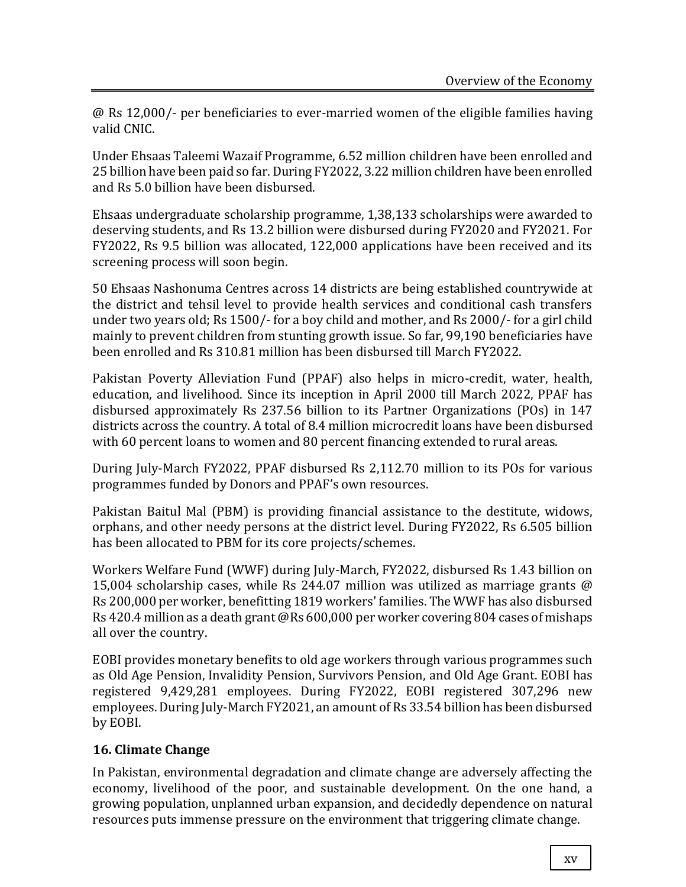@ Rs 12,000/- per beneficiaries to ever-married women of the eligible families having valid CNIC.

Under Ehsaas Taleemi Wazaif Programme, 6.52 million children have been enrolled and 25 billion have been paid so far. During FY2022, 3.22 million children have been enrolled and Rs 5.0 billion have been disbursed.

Ehsaas undergraduate scholarship programme, 1,38,133 scholarships were awarded to deserving students, and Rs 13.2 billion were disbursed during FY2020 and FY2021. For FY2022, Rs 9.5 billion was allocated, 122,000 applications have been received and its screening process will soon begin.

50 Ehsaas Nashonuma Centres across 14 districts are being established countrywide at the district and tehsil level to provide health services and conditional cash transfers under two years old; Rs 1500/- for a boy child and mother, and Rs 2000/- for a girl child mainly to prevent children from stunting growth issue. So far, 99,190 beneficiaries have been enrolled and Rs 310.81 million has been disbursed till March FY2022.

Pakistan Poverty Alleviation Fund (PPAF) also helps in micro-credit, water, health, education, and livelihood. Since its inception in April 2000 till March 2022, PPAF has disbursed approximately Rs 237.56 billion to its Partner Organizations (POs) in 147 districts across the country. A total of 8.4 million microcredit loans have been disbursed with 60 percent loans to women and 80 percent financing extended to rural areas.

During July-March FY2022, PPAF disbursed Rs 2,112.70 million to its POs for various programmes funded by Donors and PPAF's own resources.

Pakistan Baitul Mal (PBM) is providing financial assistance to the destitute, widows, orphans, and other needy persons at the district level. During FY2022, Rs 6.505 billion has been allocated to PBM for its core projects/schemes.

Workers Welfare Fund (WWF) during July-March, FY2022, disbursed Rs 1.43 billion on 15,004 scholarship cases, while Rs 244.07 million was utilized as marriage grants @ Rs 200,000 per worker, benefitting 1819 workers' families. The WWF has also disbursed Rs 420.4 million as a death grant @Rs 600,000 per worker covering 804 cases of mishaps all over the country.

EOBI provides monetary benefits to old age workers through various programmes such as Old Age Pension, Invalidity Pension, Survivors Pension, and Old Age Grant. EOBI has registered 9,429,281 employees. During FY2022, EOBI registered 307,296 new employees. During July-March FY2021, an amount of Rs 33.54 billion has been disbursed by EOBI.

# **16. Climate Change**

In Pakistan, environmental degradation and climate change are adversely affecting the economy, livelihood of the poor, and sustainable development. On the one hand, a growing population, unplanned urban expansion, and decidedly dependence on natural resources puts immense pressure on the environment that triggering climate change.